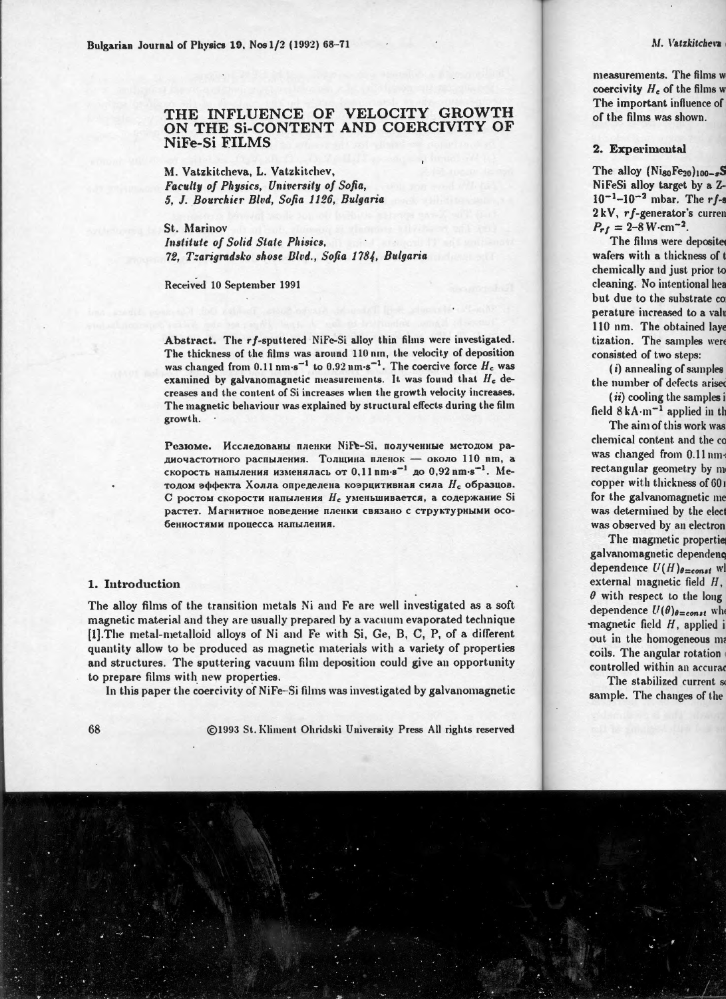# THE INFLUENCE OF VELOCITY GROWTH ON THE SI-CONTENT AND COERCIVITY OF NiFe-Si FILMS

M. Vatzkitcheva, L. Vatzkitchev, Faculty of Physics, University of Sofia, 5. J. Bourchier Blvd. Sofia 1126. Bulgaria

St. Marinov Institute of Solid State Phisics. 72. Tzarigradsko shose Blvd., Sofia 1784, Bulgaria

Received 10 September 1991

Abstract. The rf-sputtered NiFe-Si alloy thin films were investigated. The thickness of the films was around 110 nm, the velocity of deposition was changed from 0.11 nm s<sup>-1</sup> to 0.92 nm s<sup>-1</sup>. The coercive force  $H_c$  was examined by galvanomagnetic measurements. It was found that  $H_c$  decreases and the content of Si increases when the growth velocity increases. The magnetic behaviour was explained by structural effects during the film growth.

Резюме. Исследованы пленки NiFe-Si, полученные методом радиочастотного распыления. Толщина пленок - около 110 nm, а скорость напыления изменялась от 0,11 nm·s<sup>-1</sup> до 0,92 nm·s<sup>-1</sup>. Методом эффекта Холла определена коэрцитивная сила  $H_c$  образцов. С ростом скорости напыления Н<sub>с</sub> уменьшивается, а содержание Si растет. Магнитное поведение пленки связано с структурными особенностями процесса напыления.

### 1. Introduction

The alloy films of the transition metals Ni and Fe are well investigated as a soft magnetic material and they are usually prepared by a vacuum evaporated technique [1]. The metal-metalloid alloys of Ni and Fe with Si, Ge, B, C, P, of a different quantity allow to be produced as magnetic materials with a variety of properties and structures. The sputtering vacuum film deposition could give an opportunity to prepare films with new properties.

In this paper the coercivity of NiFe-Si films was investigated by galvanomagnetic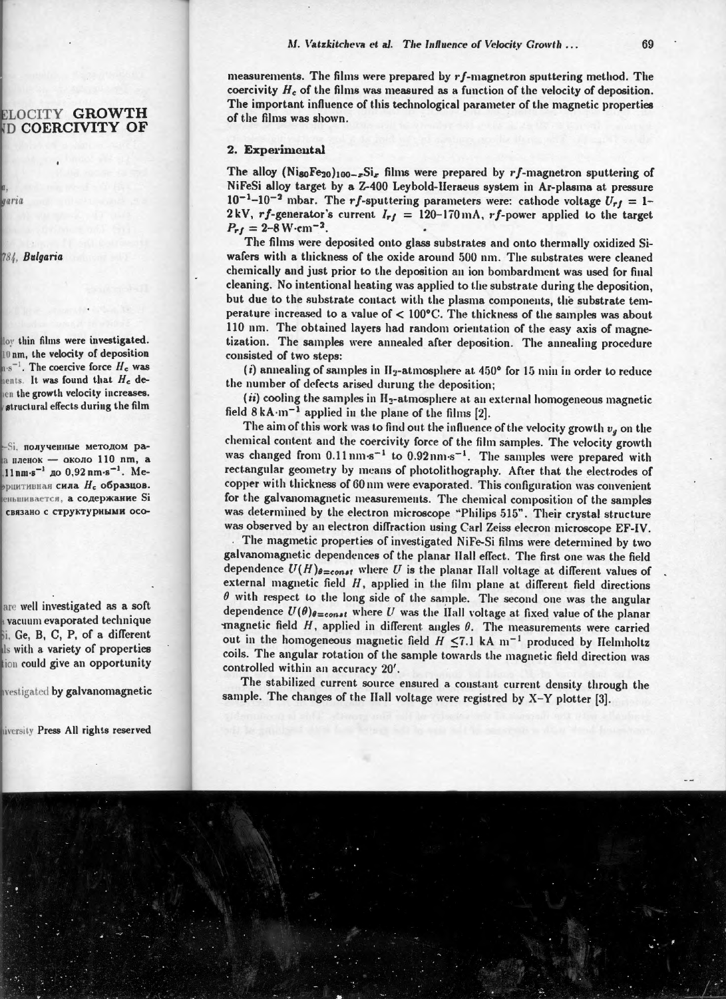measurements. The films were prepared by  $rf$ -magnetron sputtering method. The coercivity  $H_c$  of the films was measured as a function of the velocity of deposition. The important influence of this technological parameter of the magnetic properties of the films was shown

# 2. Experimental

The alloy (NigoFe<sub>20</sub>)<sub>100-x</sub>Si<sub>x</sub> films were prepared by rf-magnetron sputtering of NiFeSi alloy target by a Z-400 Leybold-Heraeus system in Ar-plasma at pressure  $10^{-1}$ -10<sup>-2</sup> mbar. The rf-sputtering parameters were: cathode voltage  $U_{rf} = 1$ -2kV, rf-generator's current  $I_{rf} = 120-170 \text{ mA}$ , rf-power applied to the target  $P_{rf} = 2 - 8 \,\mathrm{W} \cdot \mathrm{cm}^{-2}$ .

The films were deposited onto glass substrates and onto thermally oxidized Siwafers with a thickness of the oxide around 500 nm. The substrates were cleaned chemically and just prior to the deposition an ion bombardment was used for final cleaning. No intentional heating was applied to the substrate during the deposition, but due to the substrate contact with the plasma components, the substrate temperature increased to a value of < 100°C. The thickness of the samples was about 110 nm. The obtained layers had random orientation of the easy axis of magnetization. The samples were annealed after deposition. The annealing procedure consisted of two steps:

(i) annealing of samples in  $H_2$ -atmosphere at 450° for 15 min in order to reduce the number of defects arised durung the deposition;

(*ii*) cooling the samples in  $H_2$ -atmosphere at an external homogeneous magnetic field  $8kA \cdot m^{-1}$  applied in the plane of the films [2].

The aim of this work was to find out the influence of the velocity growth  $v_g$  on the chemical content and the coercivity force of the film samples. The velocity growth was changed from  $0.11 \text{ nm} \cdot \text{s}^{-1}$  to  $0.92 \text{ nm} \cdot \text{s}^{-1}$ . The samples were prepared with rectangular geometry by means of photolithography. After that the electrodes of copper with thickness of 60 nm were evaporated. This configuration was convenient for the galvanomagnetic measurements. The chemical composition of the samples was determined by the electron microscope "Philips 515". Their crystal structure was observed by an electron diffraction using Carl Zeiss elecron microscope EF-IV.

The magmetic properties of investigated NiFe-Si films were determined by two galvanomagnetic dependences of the planar Hall effect. The first one was the field dependence  $U(H)_{\theta=const}$  where U is the planar Hall voltage at different values of external magnetic field  $H$ , applied in the film plane at different field directions  $\theta$  with respect to the long side of the sample. The second one was the angular dependence  $U(\theta)_{\theta=const}$  where U was the Hall voltage at fixed value of the planar magnetic field  $H$ , applied in different angles  $\theta$ . The measurements were carried out in the homogeneous magnetic field  $H \le 7.1$  kA m<sup>-1</sup> produced by Helmholtz coils. The angular rotation of the sample towards the magnetic field direction was controlled within an accuracy 20'.

The stabilized current source ensured a constant current density through the sample. The changes of the Hall voltage were registred by  $X-Y$  plotter [3].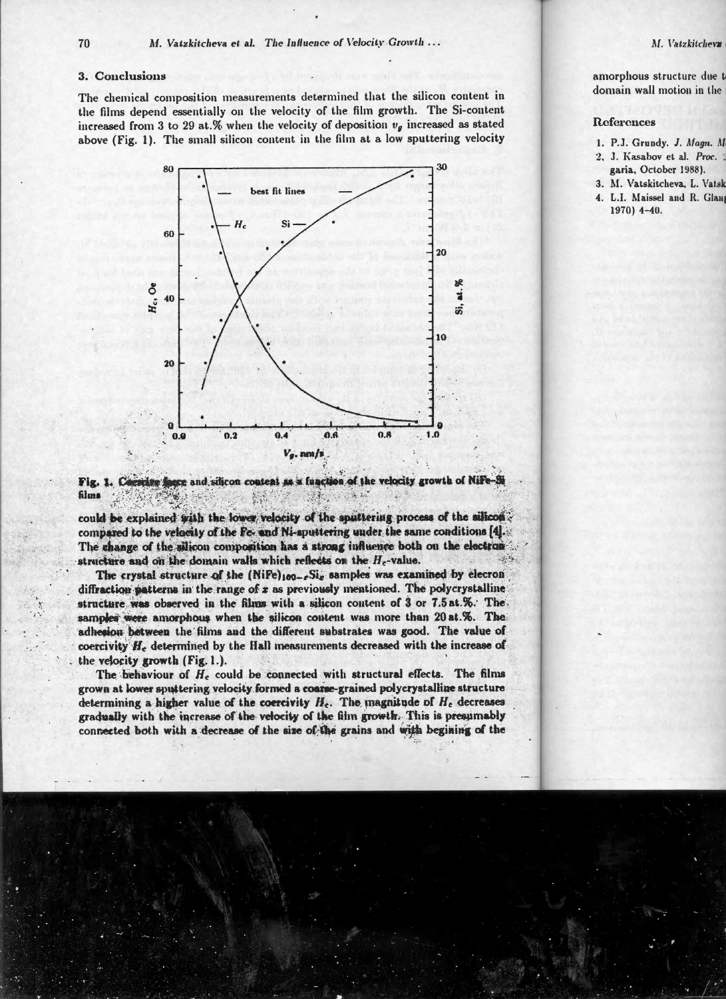#### 3. Conclusions

The chemical composition measurements determined that the silicon content in the films depend essentially on the velocity of the film growth. The Si-content increased from 3 to 29 at.% when the velocity of deposition  $v_a$  increased as stated above (Fig. 1). The small silicon content in the film at a low sputtering velocity



ere and silicon content as a function of the velocity growth of Nife Fig. 1. Co erd te films

could be explained with the lower velocity of the sputtering process of the silicon compared to the velocity of the Fe- and Ni-aputtering under the same conditions [4]. The change of the silicon composition has a strong influence both on the electron structure and on the domain walls which reflects on the  $H_c$ -value.

The crystal structure of the (NiFe)100-6Sig samples was examined by elecron diffraction patterns in the range of  $x$  as previously mentioned. The polycrystalline structure was observed in the films with a silicon content of 3 or 7.5 at.%. The samples were amorphous when the silicon content was more than 20 at.%. The adhesion between the films and the different substrates was good. The value of coercivity H<sub>c</sub> determined by the Hall measurements decreased with the increase of the velocity growth (Fig. 1.).

The behaviour of  $H<sub>e</sub>$  could be connected with structural effects. The films grown at lower sputtering velocity formed a coarse-grained polycrystalline structure determining a higher value of the coercivity  $H_c$ . The magnitude of  $H_c$  decreases gradually with the increase of the velocity of the film growth. This is presumably connected both with a decrease of the size of the grains and with begining of the